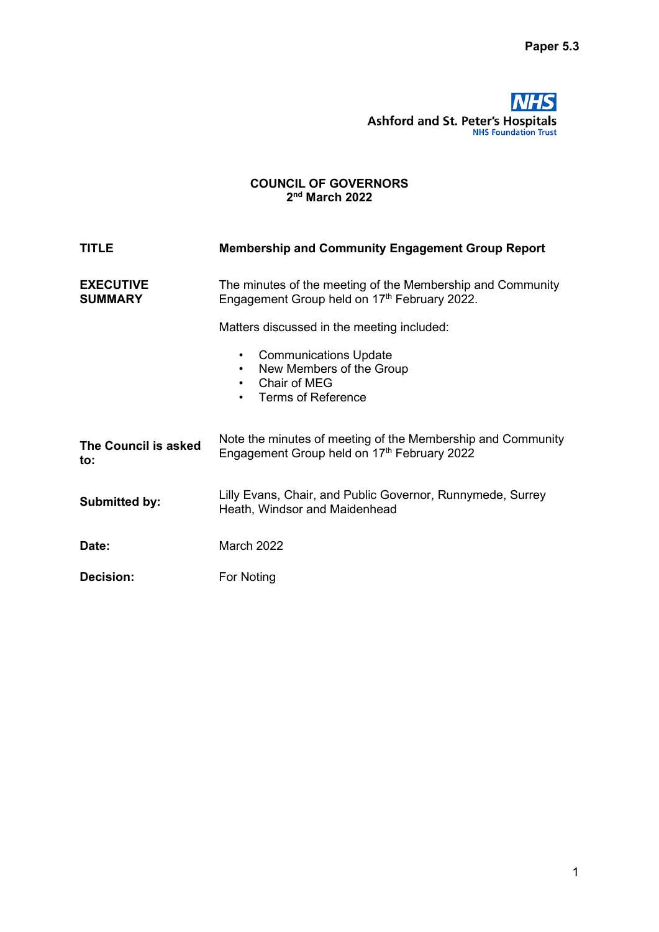# **NHS** Ashford and St. Peter's Hospitals

### COUNCIL OF GOVERNORS 2<sup>nd</sup> March 2022

| <b>TITLE</b>                       | <b>Membership and Community Engagement Group Report</b>                                                                         |  |  |  |
|------------------------------------|---------------------------------------------------------------------------------------------------------------------------------|--|--|--|
| <b>EXECUTIVE</b><br><b>SUMMARY</b> | The minutes of the meeting of the Membership and Community<br>Engagement Group held on 17th February 2022.                      |  |  |  |
|                                    | Matters discussed in the meeting included:                                                                                      |  |  |  |
|                                    | <b>Communications Update</b><br>$\bullet$<br>New Members of the Group<br>Chair of MEG<br>$\bullet$<br><b>Terms of Reference</b> |  |  |  |
| The Council is asked<br>to:        | Note the minutes of meeting of the Membership and Community<br>Engagement Group held on 17th February 2022                      |  |  |  |
| <b>Submitted by:</b>               | Lilly Evans, Chair, and Public Governor, Runnymede, Surrey<br>Heath, Windsor and Maidenhead                                     |  |  |  |
| Date:                              | <b>March 2022</b>                                                                                                               |  |  |  |
| <b>Decision:</b>                   | For Noting                                                                                                                      |  |  |  |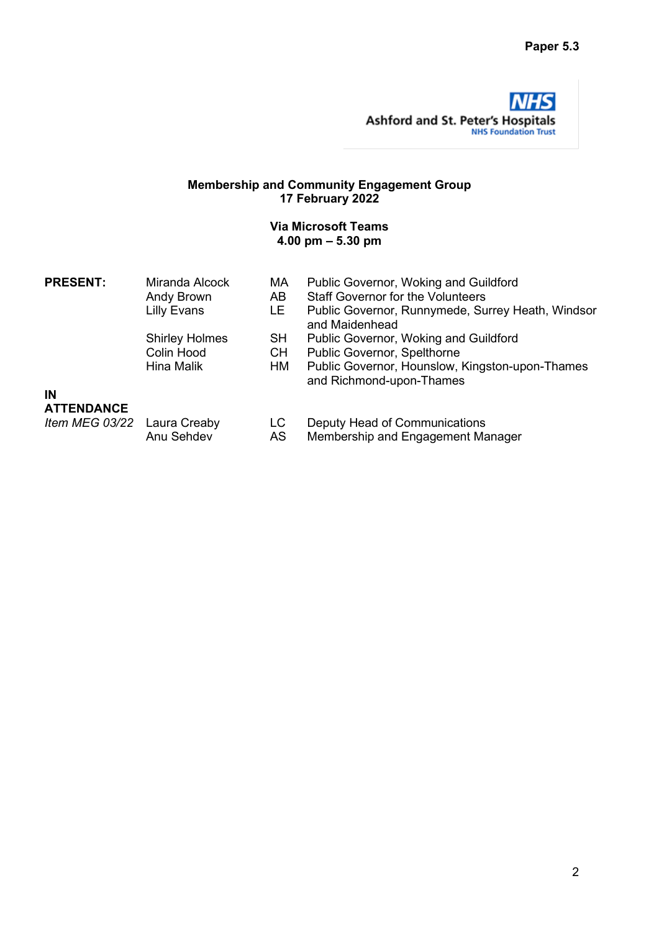

### Membership and Community Engagement Group 17 February 2022

### Via Microsoft Teams 4.00 pm – 5.30 pm

| <b>PRESENT:</b>             | Miranda Alcock<br>Andy Brown | МA<br>AB  | Public Governor, Woking and Guildford<br><b>Staff Governor for the Volunteers</b> |
|-----------------------------|------------------------------|-----------|-----------------------------------------------------------------------------------|
|                             | <b>Lilly Evans</b>           | LE.       | Public Governor, Runnymede, Surrey Heath, Windsor<br>and Maidenhead               |
|                             | <b>Shirley Holmes</b>        | SH.       | Public Governor, Woking and Guildford                                             |
|                             | Colin Hood                   | CH.       | Public Governor, Spelthorne                                                       |
|                             | Hina Malik                   | HМ        | Public Governor, Hounslow, Kingston-upon-Thames<br>and Richmond-upon-Thames       |
| ΙN                          |                              |           |                                                                                   |
| <b>ATTENDANCE</b>           |                              |           |                                                                                   |
| Item MEG 03/22 Laura Creaby | Anu Sehdev                   | LC.<br>AS | Deputy Head of Communications<br>Membership and Engagement Manager                |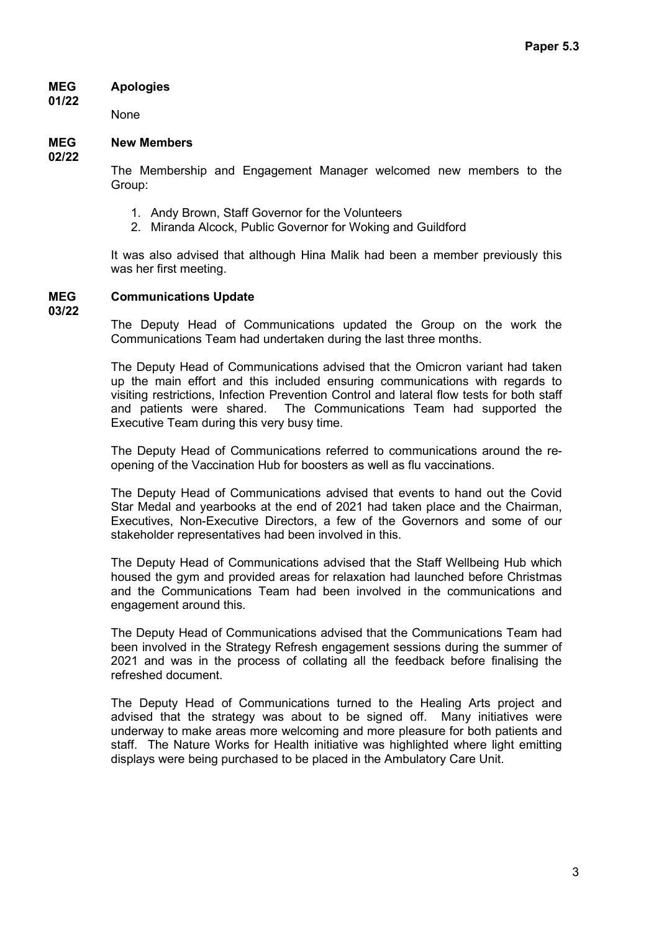#### MEG Apologies

None

#### MEG New Members

02/22

01/22

The Membership and Engagement Manager welcomed new members to the Group:

- 1. Andy Brown, Staff Governor for the Volunteers
- 2. Miranda Alcock, Public Governor for Woking and Guildford

It was also advised that although Hina Malik had been a member previously this was her first meeting.

#### MEG Communications Update

03/22

The Deputy Head of Communications updated the Group on the work the Communications Team had undertaken during the last three months.

The Deputy Head of Communications advised that the Omicron variant had taken up the main effort and this included ensuring communications with regards to visiting restrictions, Infection Prevention Control and lateral flow tests for both staff and patients were shared. The Communications Team had supported the Executive Team during this very busy time.

The Deputy Head of Communications referred to communications around the reopening of the Vaccination Hub for boosters as well as flu vaccinations.

The Deputy Head of Communications advised that events to hand out the Covid Star Medal and yearbooks at the end of 2021 had taken place and the Chairman, Executives, Non-Executive Directors, a few of the Governors and some of our stakeholder representatives had been involved in this.

The Deputy Head of Communications advised that the Staff Wellbeing Hub which housed the gym and provided areas for relaxation had launched before Christmas and the Communications Team had been involved in the communications and engagement around this.

The Deputy Head of Communications advised that the Communications Team had been involved in the Strategy Refresh engagement sessions during the summer of 2021 and was in the process of collating all the feedback before finalising the refreshed document.

The Deputy Head of Communications turned to the Healing Arts project and advised that the strategy was about to be signed off. Many initiatives were underway to make areas more welcoming and more pleasure for both patients and staff. The Nature Works for Health initiative was highlighted where light emitting displays were being purchased to be placed in the Ambulatory Care Unit.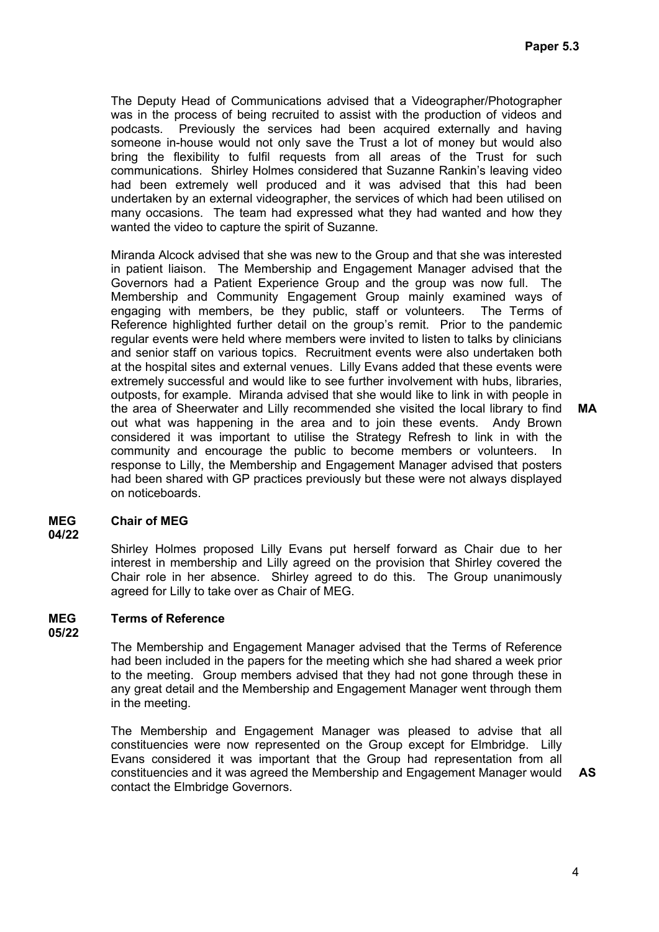The Deputy Head of Communications advised that a Videographer/Photographer was in the process of being recruited to assist with the production of videos and podcasts. Previously the services had been acquired externally and having someone in-house would not only save the Trust a lot of money but would also bring the flexibility to fulfil requests from all areas of the Trust for such communications. Shirley Holmes considered that Suzanne Rankin's leaving video had been extremely well produced and it was advised that this had been undertaken by an external videographer, the services of which had been utilised on many occasions. The team had expressed what they had wanted and how they wanted the video to capture the spirit of Suzanne.

Miranda Alcock advised that she was new to the Group and that she was interested in patient liaison. The Membership and Engagement Manager advised that the Governors had a Patient Experience Group and the group was now full. The Membership and Community Engagement Group mainly examined ways of engaging with members, be they public, staff or volunteers. The Terms of Reference highlighted further detail on the group's remit. Prior to the pandemic regular events were held where members were invited to listen to talks by clinicians and senior staff on various topics. Recruitment events were also undertaken both at the hospital sites and external venues. Lilly Evans added that these events were extremely successful and would like to see further involvement with hubs, libraries, outposts, for example. Miranda advised that she would like to link in with people in the area of Sheerwater and Lilly recommended she visited the local library to find out what was happening in the area and to join these events. Andy Brown considered it was important to utilise the Strategy Refresh to link in with the community and encourage the public to become members or volunteers. In response to Lilly, the Membership and Engagement Manager advised that posters had been shared with GP practices previously but these were not always displayed on noticeboards.

#### MEG Chair of MEG

04/22

Shirley Holmes proposed Lilly Evans put herself forward as Chair due to her interest in membership and Lilly agreed on the provision that Shirley covered the Chair role in her absence. Shirley agreed to do this. The Group unanimously agreed for Lilly to take over as Chair of MEG.

### MEG 05/22 Terms of Reference

The Membership and Engagement Manager advised that the Terms of Reference had been included in the papers for the meeting which she had shared a week prior to the meeting. Group members advised that they had not gone through these in any great detail and the Membership and Engagement Manager went through them in the meeting.

The Membership and Engagement Manager was pleased to advise that all constituencies were now represented on the Group except for Elmbridge. Lilly Evans considered it was important that the Group had representation from all constituencies and it was agreed the Membership and Engagement Manager would contact the Elmbridge Governors.

AS

MA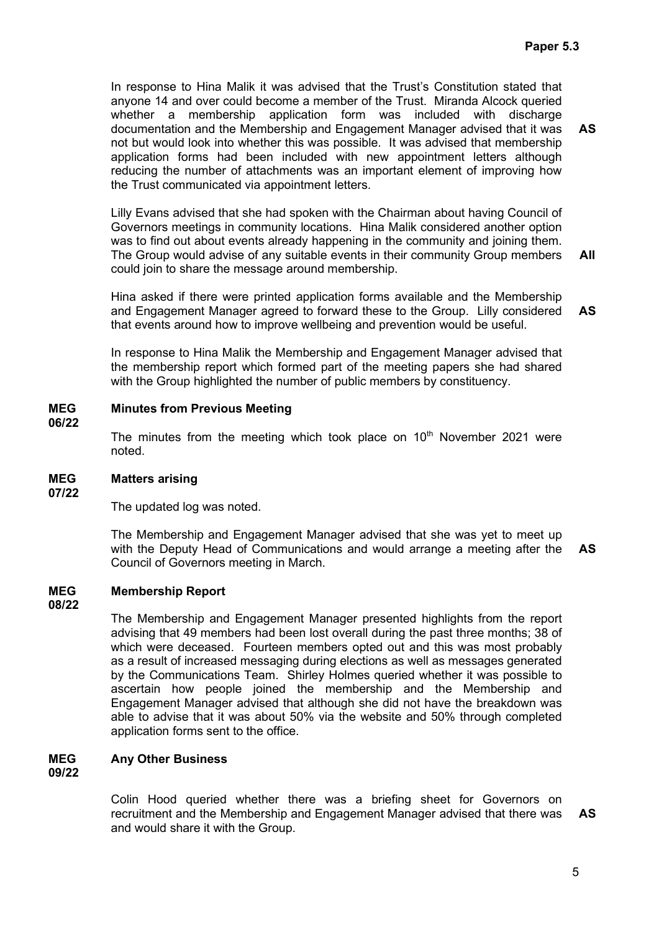In response to Hina Malik it was advised that the Trust's Constitution stated that anyone 14 and over could become a member of the Trust. Miranda Alcock queried whether a membership application form was included with discharge documentation and the Membership and Engagement Manager advised that it was not but would look into whether this was possible. It was advised that membership application forms had been included with new appointment letters although reducing the number of attachments was an important element of improving how the Trust communicated via appointment letters. AS

Lilly Evans advised that she had spoken with the Chairman about having Council of Governors meetings in community locations. Hina Malik considered another option was to find out about events already happening in the community and joining them. The Group would advise of any suitable events in their community Group members could join to share the message around membership. All

Hina asked if there were printed application forms available and the Membership and Engagement Manager agreed to forward these to the Group. Lilly considered that events around how to improve wellbeing and prevention would be useful. AS

In response to Hina Malik the Membership and Engagement Manager advised that the membership report which formed part of the meeting papers she had shared with the Group highlighted the number of public members by constituency.

#### MEG Minutes from Previous Meeting

06/22

The minutes from the meeting which took place on  $10<sup>th</sup>$  November 2021 were noted.

#### MEG 07/22 Matters arising

The updated log was noted.

The Membership and Engagement Manager advised that she was yet to meet up with the Deputy Head of Communications and would arrange a meeting after the Council of Governors meeting in March. AS

#### MEG Membership Report

### 08/22

The Membership and Engagement Manager presented highlights from the report advising that 49 members had been lost overall during the past three months; 38 of which were deceased. Fourteen members opted out and this was most probably as a result of increased messaging during elections as well as messages generated by the Communications Team. Shirley Holmes queried whether it was possible to ascertain how people joined the membership and the Membership and Engagement Manager advised that although she did not have the breakdown was able to advise that it was about 50% via the website and 50% through completed application forms sent to the office.

#### MEG Any Other Business

09/22

Colin Hood queried whether there was a briefing sheet for Governors on recruitment and the Membership and Engagement Manager advised that there was and would share it with the Group. AS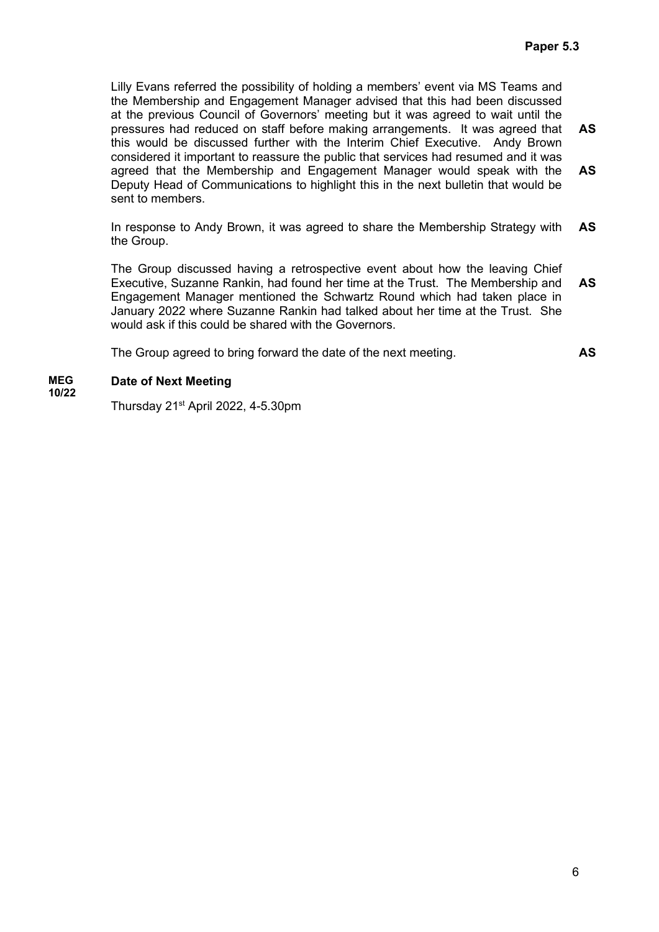AS

Lilly Evans referred the possibility of holding a members' event via MS Teams and the Membership and Engagement Manager advised that this had been discussed at the previous Council of Governors' meeting but it was agreed to wait until the pressures had reduced on staff before making arrangements. It was agreed that this would be discussed further with the Interim Chief Executive. Andy Brown considered it important to reassure the public that services had resumed and it was agreed that the Membership and Engagement Manager would speak with the Deputy Head of Communications to highlight this in the next bulletin that would be sent to members. AS AS

In response to Andy Brown, it was agreed to share the Membership Strategy with the Group. AS

The Group discussed having a retrospective event about how the leaving Chief Executive, Suzanne Rankin, had found her time at the Trust. The Membership and Engagement Manager mentioned the Schwartz Round which had taken place in January 2022 where Suzanne Rankin had talked about her time at the Trust. She would ask if this could be shared with the Governors. AS

The Group agreed to bring forward the date of the next meeting.

#### MEG Date of Next Meeting

10/22

Thursday  $21<sup>st</sup>$  April 2022, 4-5.30pm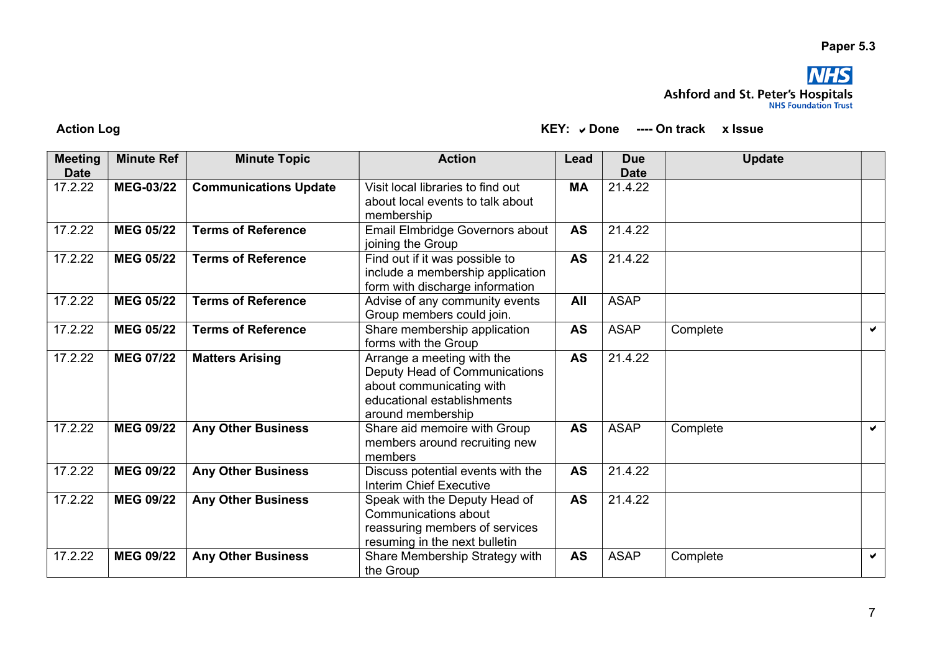## Paper 5.3



 $KEY:$   $\checkmark$  Done ---- On track  $\checkmark$  x Issue

| <b>Meeting</b> | <b>Minute Ref</b> | <b>Minute Topic</b>          | <b>Action</b>                                                                                                                              | Lead      | <b>Due</b>  | <b>Update</b> |                       |
|----------------|-------------------|------------------------------|--------------------------------------------------------------------------------------------------------------------------------------------|-----------|-------------|---------------|-----------------------|
| <b>Date</b>    |                   |                              |                                                                                                                                            |           | <b>Date</b> |               |                       |
| 17.2.22        | <b>MEG-03/22</b>  | <b>Communications Update</b> | Visit local libraries to find out<br>about local events to talk about<br>membership                                                        | <b>MA</b> | 21.4.22     |               |                       |
| 17.2.22        | <b>MEG 05/22</b>  | <b>Terms of Reference</b>    | Email Elmbridge Governors about<br>joining the Group                                                                                       | <b>AS</b> | 21.4.22     |               |                       |
| 17.2.22        | <b>MEG 05/22</b>  | <b>Terms of Reference</b>    | Find out if it was possible to<br>include a membership application<br>form with discharge information                                      | <b>AS</b> | 21.4.22     |               |                       |
| 17.2.22        | <b>MEG 05/22</b>  | <b>Terms of Reference</b>    | Advise of any community events<br>Group members could join.                                                                                | All       | <b>ASAP</b> |               |                       |
| 17.2.22        | <b>MEG 05/22</b>  | <b>Terms of Reference</b>    | Share membership application<br>forms with the Group                                                                                       | <b>AS</b> | <b>ASAP</b> | Complete      | $\blacktriangleright$ |
| 17.2.22        | <b>MEG 07/22</b>  | <b>Matters Arising</b>       | Arrange a meeting with the<br>Deputy Head of Communications<br>about communicating with<br>educational establishments<br>around membership | <b>AS</b> | 21.4.22     |               |                       |
| 17.2.22        | <b>MEG 09/22</b>  | <b>Any Other Business</b>    | Share aid memoire with Group<br>members around recruiting new<br>members                                                                   | <b>AS</b> | <b>ASAP</b> | Complete      | $\blacktriangledown$  |
| 17.2.22        | <b>MEG 09/22</b>  | <b>Any Other Business</b>    | Discuss potential events with the<br><b>Interim Chief Executive</b>                                                                        | <b>AS</b> | 21.4.22     |               |                       |
| 17.2.22        | <b>MEG 09/22</b>  | <b>Any Other Business</b>    | Speak with the Deputy Head of<br>Communications about<br>reassuring members of services<br>resuming in the next bulletin                   | <b>AS</b> | 21.4.22     |               |                       |
| 17.2.22        | <b>MEG 09/22</b>  | <b>Any Other Business</b>    | Share Membership Strategy with<br>the Group                                                                                                | <b>AS</b> | <b>ASAP</b> | Complete      | ✔                     |

**Action Log**